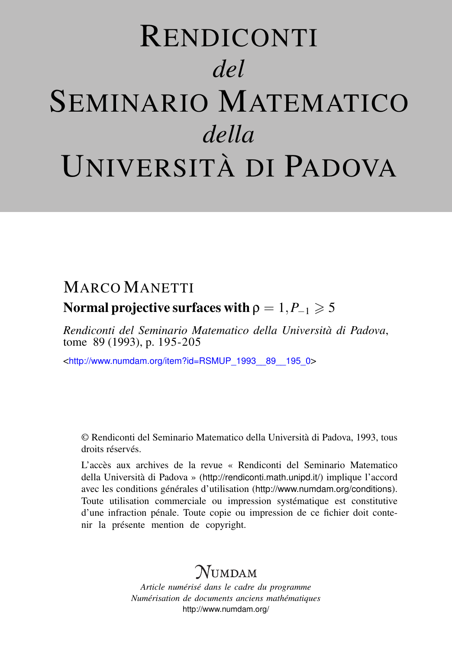# RENDICONTI *del* SEMINARIO MATEMATICO *della* UNIVERSITÀ DI PADOVA

# MARCO MANETTI

## Normal projective surfaces with  $\rho = 1, P_{-1} \geq 5$

*Rendiconti del Seminario Matematico della Università di Padova*, tome 89 (1993), p. 195-205

<[http://www.numdam.org/item?id=RSMUP\\_1993\\_\\_89\\_\\_195\\_0](http://www.numdam.org/item?id=RSMUP_1993__89__195_0)>

© Rendiconti del Seminario Matematico della Università di Padova, 1993, tous droits réservés.

L'accès aux archives de la revue « Rendiconti del Seminario Matematico della Università di Padova » (<http://rendiconti.math.unipd.it/>) implique l'accord avec les conditions générales d'utilisation (<http://www.numdam.org/conditions>). Toute utilisation commerciale ou impression systématique est constitutive d'une infraction pénale. Toute copie ou impression de ce fichier doit contenir la présente mention de copyright.

# $\mathcal N$ umdam

*Article numérisé dans le cadre du programme Numérisation de documents anciens mathématiques* <http://www.numdam.org/>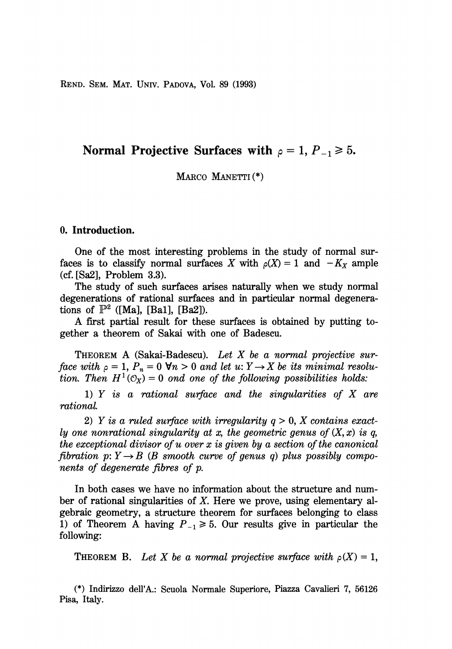REND. SEM. MAT. UNIV. PADOVA, Vol. 89 (1993)

### Normal Projective Surfaces with  $\rho = 1, P_{-1} \ge 5$ .

MARCO MANETTI(\*)

#### 0. Introduction.

One of the most interesting problems in the study of normal surfaces is to classify normal surfaces X with  $\rho(X) = 1$  and  $-K_X$  ample (cf. [Sa2], Problem 3.3).

The study of such surfaces arises naturally when we study normal degenerations of rational surfaces and in particular normal degenerations of  $\mathbb{P}^2$  ([Ma], [Ba1], [Ba2]).

A first partial result for these surfaces is obtained by putting together a theorem of Sakai with one of Badescu.

THEOREM A (Sakai-Badescu). Let X be a normal projective surface with  $\rho = 1$ ,  $P_n = 0 \forall n > 0$  and let  $u: Y \to X$  be its minimal resolution. Then  $H^1(\mathcal{O}_X) = 0$  ond one of the following possibilities holds:

1)  $Y$  is a rational surface and the singularities of  $X$  are rational.

2) Y is a ruled surface with irregularity  $q > 0$ , X contains exactly one nonrational singularity at x, the geometric genus of  $(X, x)$  is q, the exceptional divisor of u over x is given by a section of the canonical fibration  $p: Y \rightarrow B$  (B smooth curve of genus q) plus possibly components of degenerate fibres of p.

In both cases we have no information about the structure and number of rational singularities of X. Here we prove, using elementary algebraic geometry, a structure theorem for surfaces belonging to class 1) of Theorem A having  $P_{-1} \ge 5$ . Our results give in particular the following:

**THEOREM B.** Let X be a normal projective surface with  $\rho(X) = 1$ ,

(\*) Indirizzo dell'A.: Scuola Normale Superiore, Piazza Cavalieri 7, 56126 Pisa, Italy.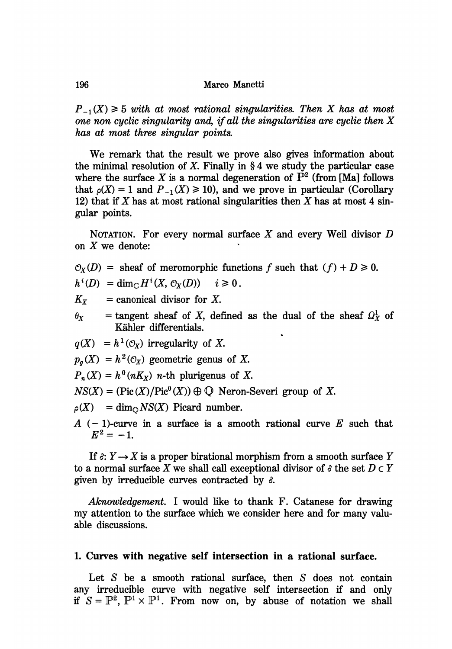$P_{-1}(X) \geq 5$  with at most rational singularities. Then X has at most one non cyclic singularity and, if all the singularities are cyclic then  $X$ has at most three singular points

We remark that the result we prove also gives information about the minimal resolution of X. Finally in  $\S 4$  we study the particular case where the surface X is a normal degeneration of  $\tilde{P}^2$  (from [Ma] follows that  $\rho(X) = 1$  and  $P_{-1}(X) \ge 10$ , and we prove in particular (Corollary 12) that if X has at most rational singularities then X has at most 4 singular points.

NOTATION. For every normal surface  $X$  and every Weil divisor  $D$ on  $X$  we denote:

 $\mathcal{O}_X(D)$  = sheaf of meromorphic functions f such that  $(f) + D \ge 0$ .

 $h^i(D) = \dim_{\mathbb{C}} H^i(X, \mathcal{O}_X(D)) \quad i \geq 0.$ 

 $K_X$  = canonical divisor for X.

 $\theta_X$  = tangent sheaf of X, defined as the dual of the sheaf  $\Omega_X^1$  of Kahler differentials. '

 $q(X) = h^{1}(\mathcal{O}_{X})$  irregularity of X.

 $p_a(X) = h^2(\mathcal{O}_X)$  geometric genus of X.

 $P_n(X) = h^0(nK_X)$  *n*-th plurigenus of X.

 $NS(X) = (Pic(X) / Pic^{0}(X)) \oplus \mathbb{Q}$  Neron-Severi group of X.

 $\rho(X)$  = dim<sub>O</sub>NS(X) Picard number.

A  $(-1)$ -curve in a surface is a smooth rational curve E such that  $E^2 = -1.$ 

If  $\delta: Y \to X$  is a proper birational morphism from a smooth surface Y to a normal surface X we shall call exceptional divisor of  $\delta$  the set  $D \subset Y$ given by irreducible curves contracted by  $\delta$ .

Aknowledgement. I would like to thank F. Catanese for drawing my attention to the surface which we consider here and for many valuable discussions.

#### 1. Curves with negative self intersection in a rational surface.

Let  $S$  be a smooth rational surface, then  $S$  does not contain any irreducible curve with negative self intersection if and only if  $S = \mathbb{P}^2$ ,  $\mathbb{P}^1 \times \mathbb{P}^1$ . From now on, by abuse of notation we shall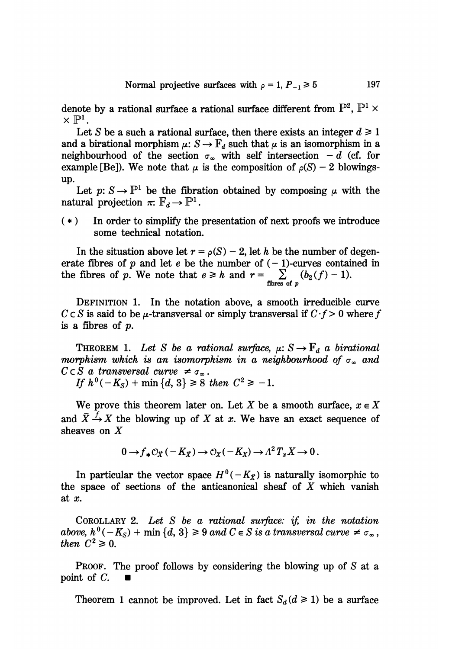denote by a rational surface a rational surface different from  $\mathbb{P}^2$ ,  $\mathbb{P}^1 \times$  $\times \mathbb{P}^1$ .

Let S be a such a rational surface, then there exists an integer  $d \ge 1$ and a birational morphism  $\mu: S \to \mathbb{F}_d$  such that  $\mu$  is an isomorphism in a neighbourhood of the section  $\sigma_{\infty}$  with self intersection  $-d$  (cf. for example [Be]). We note that  $\mu$  is the composition of  $\rho(S) - 2$  blowingsup.

Let  $p: S \to \mathbb{P}^1$  be the fibration obtained by composing  $\mu$  with the natural projection  $\pi: \mathbb{F}_d \to \mathbb{P}^1$ .

( \* ) In order to simplify the presentation of next proofs we introduce some technical notation.

In the situation above let  $r = \rho(S) - 2$ , let h be the number of degenerate fibres of p and let e be the number of  $(-1)$ -curves contained in the fibres of p. We note that  $e \geq h$  and  $r = \sum_{\text{fibres of } p} (b_2(f) - 1)$ .

DEFINITION 1. In the notation above, a smooth irreducible curve  $C \subset S$  is said to be  $\mu$ -transversal or simply transversal if  $C \cdot f > 0$  where f is a fibres of p.

THEOREM 1. Let S be a rational surface,  $\mu: S \to \mathbb{F}_d$  a birational morphism which is an isomorphism in a neighbourhood of  $\sigma_{\infty}$  and  $C \subset S$  a transversal curve  $\neq \sigma_{\infty}$ .

If  $h^0(-K_S) + \min\{d, 3\} \ge 8$  then  $C^2 \ge -1$ .

We prove this theorem later on. Let X be a smooth surface,  $x \in X$ and  $\tilde{X} \stackrel{f}{\rightarrow} X$  the blowing up of X at x. We have an exact sequence of sheaves on X

$$
0 \to f_* \mathcal{O}_{\tilde{X}}(-K_{\tilde{X}}) \to \mathcal{O}_X(-K_X) \to \Lambda^2 T_x X \to 0.
$$

In particular the vector space  $H^0(-K_{\tilde{X}})$  is naturally isomorphic to the space of sections of the anticanonical sheaf of  $X$  which vanish at x.

COROLLARY 2. Let S be a rational surface: if, in the notation above,  $h^0(-K_S)$  + min  $\{d, 3\} \ge 9$  and  $C \in S$  is a transversal curve  $\neq \sigma_{\infty}$ , then  $C^2 \geq 0$ .

PROOF. The proof follows by considering the blowing up of S at a point of C.  $\Box$ 

Theorem 1 cannot be improved. Let in fact  $S_d$  ( $d \ge 1$ ) be a surface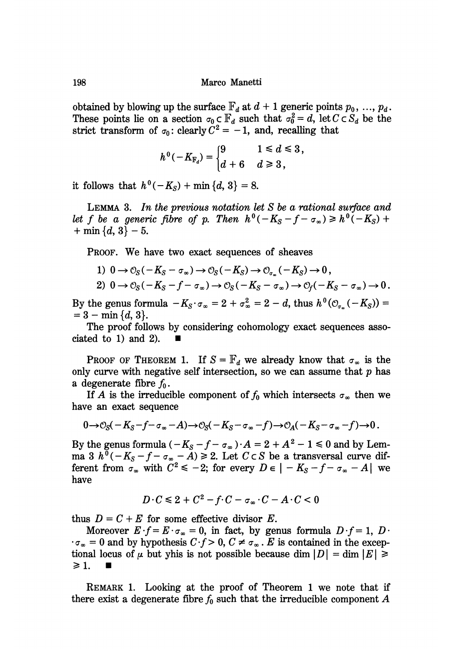obtained by blowing up the surface  $\mathbb{F}_d$  at  $d+1$  generic points  $p_0, \ldots, p_d$ . These points lie on a section  $\sigma_0 \subset \mathbb{F}_d$  such that  $\sigma_0^2 = d$ , let  $C \subset S_d$  be the strict transform of  $\sigma_0$ : clearly  $C^2 = -1$ , and, recalling that

$$
h^0(-K_{\mathbb{F}_d}) = \begin{cases} 9 & 1 \leq d \leq 3, \\ d+6 & d \geq 3, \end{cases}
$$

it follows that  $h^0(-K_S) + \min\{d, 3\} = 8$ .

LEMMA 3. In the previous notation let S be a rational surface and let f be a generic fibre of p. Then  $h^0(-K_S - f - \sigma_\infty) \geq h^0(-K_S) +$  $+$  min ${d, 3}$  – 5.

PROOF. We have two exact sequences of sheaves

1)  $0 \rightarrow \mathcal{O}_S(-K_S - \sigma_\infty) \rightarrow \mathcal{O}_S(-K_S) \rightarrow \mathcal{O}_{\sigma}(-K_S) \rightarrow 0$ ,

2) 
$$
0 \to \mathcal{O}_S(-K_S - f - \sigma_\infty) \to \mathcal{O}_S(-K_S - \sigma_\infty) \to \mathcal{O}_f(-K_S - \sigma_\infty) \to 0
$$
.

By the genus formula  $-K_S \cdot \sigma_{\infty} = 2 + \sigma_{\infty}^2 = 2 - d$ , thus  $h^0(\mathcal{O}_{\sigma_{\infty}}(-K_S)) =$ <br>= 3 - min {d, 3}.

The proof follows by considering cohomology exact sequences associated to 1) and 2).

PROOF OF THEOREM 1. If  $S = \mathbb{F}_d$  we already know that  $\sigma_{\infty}$  is the only curve with negative self intersection, so we can assume that  $p$  has a degenerate fibre  $f_0$ .

If A is the irreducible component of  $f_0$  which intersects  $\sigma_{\infty}$  then we have an exact sequence

$$
0\rightarrow\mathcal{O}_S(-K_S-f-\sigma_\infty-A)\rightarrow\mathcal{O}_S(-K_S-\sigma_\infty-f)\rightarrow\mathcal{O}_A(-K_S-\sigma_\infty-f)\rightarrow 0.
$$

By the genus formula (  $-K_S - f - \sigma_\infty \cdot A = 2 + A^2 - 1 \leq 0$  and by Lemma 3  $h^0(-K_S - f - \sigma_{\infty} - A) \ge 2$ . Let  $C \subset S$  be a transversal curve different from  $\sigma_{\infty}$  with  $C^2 \le -2$ ; for every  $D \in |-K_S - f - \sigma_{\infty} - A|$  we have

$$
D \cdot C \leq 2 + C^2 - f \cdot C - \sigma_{\infty} \cdot C - A \cdot C < 0
$$

thus  $D = C + E$  for some effective divisor E.

Moreover  $E \cdot f = E \cdot \sigma_{\infty} = 0$ , in fact, by genus formula  $D \cdot f = 1$ ,  $D \cdot$  $\cdot \sigma_{\infty} = 0$  and by hypothesis  $C \cdot f > 0$ ,  $C \neq \sigma_{\infty}$ . E is contained in the exceptional locus of  $\mu$  but yhis is not possible because dim  $|D| = \dim |E| \ge$  $\geq 1$ .

REMARK 1. Looking at the proof of Theorem 1 we note that if there exist a degenerate fibre  $f_0$  such that the irreducible component A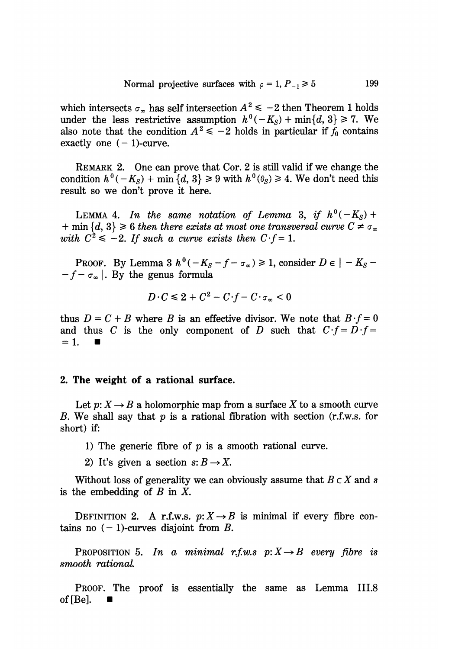which intersects  $\sigma_{\infty}$  has self intersection  $A^2 \le -2$  then Theorem 1 holds under the less restrictive assumption  $h^{0}(-K_{S})+\min\{d,3\}\geq 7$ . We also note that the condition  $A^2 \le -2$  holds in particular if  $f_0$  contains exactly one  $(-1)$ -curve.

REMARK 2. One can prove that Cor. 2 is still valid if we change the condition  $h^0(-K_S) + \min\{d, 3\} \geq 9$  with  $h^0(\theta_S) \geq 4$ . We don't need this result so we don't prove it here.

LEMMA 4. In the same notation of Lemma 3, if  $h^0(-K_S)$  + + min  $\{d, 3\} \ge 6$  then there exists at most one transversal curve  $C \ne \sigma_{\infty}$ with  $C^2 \leq -2$ . If such a curve exists then  $C \cdot f = 1$ .

PROOF. By Lemma 3  $h^0(-K_S - f - \sigma_\infty) \ge 1$ , consider  $D \in |-K_S -f - \sigma_{\infty}$ . By the genus formula

$$
D\cdot C\leq 2+C^2-C\cdot f-C\cdot\sigma_{\infty}<0
$$

thus  $D = C + B$  where B is an effective divisor. We note that  $B \cdot f = 0$ and thus C is the only component of D such that  $C \cdot f = D \cdot f =$  $=1.$ 

#### 2. The weight of a rational surface.

Let  $p: X \to B$  a holomorphic map from a surface X to a smooth curve B. We shall say that  $p$  is a rational fibration with section (r.f.w.s. for short) if:

- 1) The generic fibre of  $p$  is a smooth rational curve.
- 2) It's given a section  $s: B \to X$ .

Without loss of generality we can obviously assume that  $B \subset X$  and s is the embedding of  $B$  in  $X$ .

DEFINITION 2. A r.f.w.s.  $p: X \rightarrow B$  is minimal if every fibre contains no  $(-1)$ -curves disjoint from B.

PROPOSITION 5. In a minimal r.f.w.s  $p: X \rightarrow B$  every fibre is smooth rational

PROOF. The proof is essentially the same as Lemma III.8 of [Be].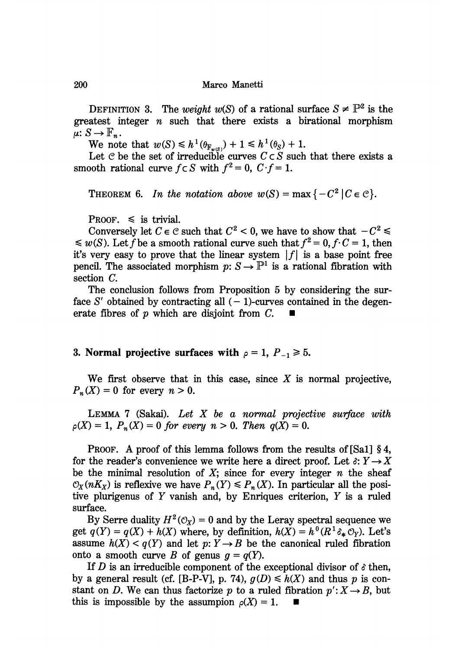DEFINITION 3. The weight  $w(S)$  of a rational surface  $S \neq \mathbb{P}^2$  is the greatest integer  $n$  such that there exists a birational morphism  $\mu: S \to \mathbb{F}_n$ .

We note that  $w(S) \leq h^1(\theta_{F_w(s)}) + 1 \leq h^1(\theta_S) + 1$ .

Let C be the set of irreducible curves  $C \subset S$  such that there exists a smooth rational curve  $f \subset S$  with  $f^2 = 0$ ,  $C \cdot f = 1$ .

THEOREM 6. In the notation above  $w(S) = \max\{-C^2 | C \in \mathcal{C}\}.$ 

PROOF.  $\leq$  is trivial.

Conversely let  $C \in \mathcal{C}$  such that  $C^2 < 0$ , we have to show that  $-C^2 \leq$  $\leq w(S)$ . Let f be a smooth rational curve such that  $f^2 = 0, f \cdot C = 1$ , then it's very easy to prove that the linear system  $|f|$  is a base point free pencil. The associated morphism  $p: S \to \mathbb{P}^1$  is a rational fibration with section C.

The conclusion follows from Proposition 5 by considering the surface S' obtained by contracting all  $(-1)$ -curves contained in the degenerate fibres of p which are disjoint from C.

## 3. Normal projective surfaces with  $\rho = 1$ ,  $P_{-1} \ge 5$ .

We first observe that in this case, since  $X$  is normal projective,  $P_n(X) = 0$  for every  $n > 0$ .

LEMMA  $7$  (Sakai). Let  $X$  be a normal projective surface with  $p(X) = 1$ ,  $P_n(X) = 0$  for every  $n > 0$ . Then  $q(X) = 0$ .

PROOF. A proof of this lemma follows from the results of [Sa1] §4, for the reader's convenience we write here a direct proof. Let  $\delta: Y \to X$ be the minimal resolution of  $X$ ; since for every integer  $n$  the sheaf  $\mathcal{O}_X(nK_X)$  is reflexive we have  $P_n(Y) \leq P_n(X)$ . In particular all the positive plurigenus of Y vanish and, by Enriques criterion, Y is a ruled surface.

By Serre duality  $H^2(\mathcal{O}_X) = 0$  and by the Leray spectral sequence we get  $q(Y) = q(X) + h(X)$  where, by definition,  $h(X) = h^0(R^1 \delta_* \mathcal{O}_Y)$ . Let's assume  $h(X) < q(Y)$  and let  $p: Y \to B$  be the canonical ruled fibration onto a smooth curve B of genus  $q = q(Y)$ .

If D is an irreducible component of the exceptional divisor of  $\delta$  then, by a general result (cf. [B-P-V], p. 74),  $g(D) \leq h(X)$  and thus p is constant on D. We can thus factorize p to a ruled fibration  $p' : X \to B$ , but this is impossible by the assumpion  $\rho(X) = 1$ .

200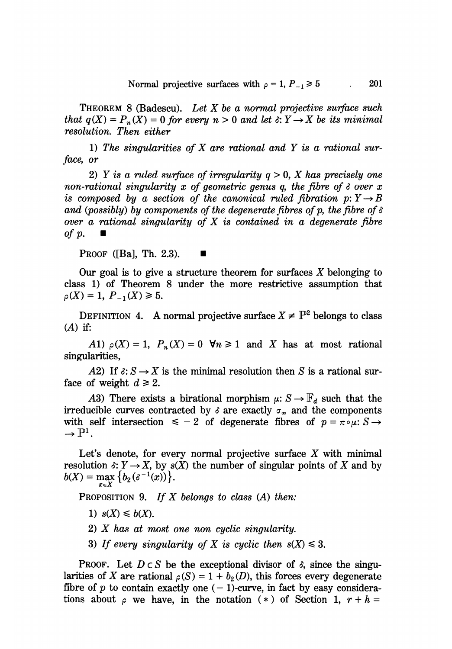THEOREM  $8$  (Badescu). Let X be a normal projective surface such that  $q(X) = P_n(X) = 0$  for every  $n > 0$  and let  $\delta: Y \to X$  be its minimal resolution. Then either

1) The singularities of  $X$  are rational and  $Y$  is a rational surface, or

2) Y is a ruled surface of irregularity  $q > 0$ , X has precisely one non-rational singularity x of geometric genus q, the fibre of  $\delta$  over x is composed by a section of the canonical ruled fibration  $p: Y \rightarrow B$ <br>and (possibly) by components of the degenerate fibres of p, the fibre of  $\delta$ and (possibly) by components of the degenerate fibres of p, the fibre of  $\delta$  over  $\,$  a rational singularity of  $X$  is contained in  $\,a\,$  degenerate fibre over a re $of$   $p$ .

PROOF ([Ba], Th. 2.3).  $\blacksquare$ 

Our goal is to give a structure theorem for surfaces  $X$  belonging to class 1) of Theorem 8 under the more restrictive assumption that  $\rho(X)=1, P_{-1}(X)\geq 5.$ 

DEFINITION 4. A normal projective surface  $X \neq \mathbb{P}^2$  belongs to class  $(A)$  if:

A1)  $\rho(X) = 1$ ,  $P_n(X) = 0$   $\forall n \ge 1$  and X has at most rational singularities,

A2) If  $\delta: S \to X$  is the minimal resolution then S is a rational surface of weight  $d \ge 2$ .

A3) There exists a birational morphism  $\mu: S \to \mathbb{F}_d$  such that the irreducible curves contracted by  $\delta$  are exactly  $\sigma_{\infty}$  and the components with self intersection  $\leq -2$  of degenerate fibres of  $p = \pi \circ \mu: S \to$  $\rightarrow \mathbb{P}^1$ .

Let's denote, for every normal projective surface  $X$  with minimal resolution  $\delta: Y \to X$ , by  $s(X)$  the number of singular points of X and by  $b(X) = \max_{x \in X} \{b_2(\delta^{-1}(x))\}.$ 

PROPOSITION 9. If X belongs to class  $(A)$  then:

- 1)  $s(X) \leq b(X)$ .
- 2) X has at most one non cyclic singularity.
- 3) If every singularity of X is cyclic then  $s(X) \leq 3$ .

**PROOF.** Let  $D \subset S$  be the exceptional divisor of  $\delta$ , since the singularities of X are rational  $\rho(S) = 1 + b_2(D)$ , this forces every degenerate fibre of p to contain exactly one  $(-1)$ -curve, in fact by easy considerations about  $\rho$  we have, in the notation (\*) of Section 1,  $r + h =$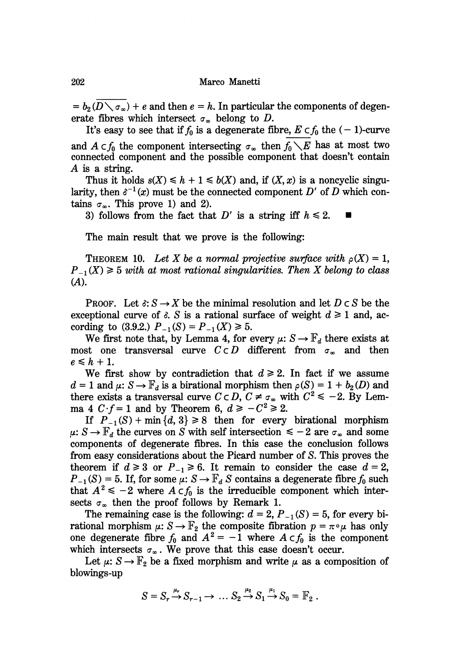$= b_2 (D \setminus \sigma_\infty) + e$  and then  $e = h$ . In particular the components of degenerate fibres which intersect  $\sigma_{\infty}$  belong to D.

It's easy to see that if  $f_0$  is a degenerate fibre,  $E \subset f_0$  the  $(-1)$ -curve and  $A \subset f_0$  the component intersecting  $\sigma_{\infty}$  then  $f_0 \setminus E$  has at most two connected component and the possible component that doesn't contain A is a string.

Thus it holds  $s(X) \leq h + 1 \leq b(X)$  and, if  $(X, x)$  is a noncyclic singularity, then  $\delta^{-1}(x)$  must be the connected component D' of D which contains  $\sigma_{\infty}$ . This prove 1) and 2).

3) follows from the fact that D' is a string iff  $h \le 2$ .

The main result that we prove is the following:

THEOREM 10. Let X be a normal projective surface with  $\rho(X) = 1$ ,  $P_{-1}(X) \geq 5$  with at most rational singularities. Then X belong to class (A).

**PROOF.** Let  $\delta: S \to X$  be the minimal resolution and let  $D \subset S$  be the exceptional curve of  $\delta$ . S is a rational surface of weight  $d \ge 1$  and, according to (3.9.2.)  $P_{-1}(S) = P_{-1}(X) \ge 5$ .

We first note that, by Lemma 4, for every  $\mu: S \to \mathbb{F}_d$  there exists at most one transversal curve  $C \subset D$  different from  $\sigma_{\infty}$  and then  $e\leq h+1.$ 

We first show by contradiction that  $d \ge 2$ . In fact if we assume  $d = 1$  and  $\mu: S \to \mathbb{F}_d$  is a birational morphism then  $\rho(S) = 1 + b_2(D)$  and there exists a transversal curve  $C \subset D$ ,  $C \neq \sigma_{\infty}$  with  $C^2 \leq -2$ . By Lemma 4  $C \cdot f = 1$  and by Theorem 6,  $d \geq -C^2 \geq 2$ .

If  $P_{-1}(S)$  + min  $\{d, 3\} \ge 8$  then for every birational morphism  $\mu: S \to \mathbb{F}_d$  the curves on S with self intersection  $\leq -2$  are  $\sigma_\infty$  and some components of degenerate fibres. In this case the conclusion follows from easy considerations about the Picard number of S. This proves the theorem if  $d \ge 3$  or  $P_{-1} \ge 6$ . It remain to consider the case  $d = 2$ ,  $P_{-1}(S) = 5$ . If, for some  $\mu: S \to \mathbb{F}_d$  S contains a degenerate fibre  $f_0$  such that  $A^2 \le -2$  where  $A \subset f_0$  is the irreducible component which intersects  $\sigma_{\infty}$  then the proof follows by Remark 1.

The remaining case is the following:  $d = 2$ ,  $P_{-1}(S) = 5$ , for every birational morphism  $\mu: S \to \mathbb{F}_2$  the composite fibration  $p = \pi \circ \mu$  has only one degenerate fibre  $f_0$  and  $A^2 = -1$  where  $A \subset f_0$  is the component which intersects  $\sigma_{\infty}$ . We prove that this case doesn't occur.

Let  $\mu: S \to \mathbb{F}_2$  be a fixed morphism and write  $\mu$  as a composition of blowings-up

$$
S = S_r \xrightarrow{\mu_r} S_{r-1} \longrightarrow \dots S_2 \xrightarrow{\mu_2} S_1 \xrightarrow{\mu_1} S_0 = \mathbb{F}_2 .
$$

202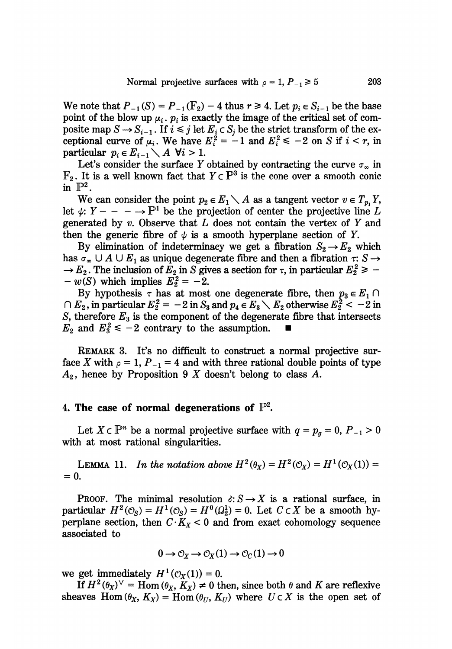We note that  $P_{-1}(S) = P_{-1}(\mathbb{F}_2) - 4$  thus  $r \ge 4$ . Let  $p_i \in S_{i-1}$  be the base point of the blow up  $\mu_i$ ,  $p_i$  is exactly the image of the critical set of composite map  $S \to S_{i-1}$ . If  $i \leq j$  let  $E_i \subset S_j$  be the strict transform of the exceptional curve of  $\mu_i$ . We have  $E_i^2 = -1$  and  $E_i^2 \le -2$  on S if  $i < r$ , in particular  $p_i \in E_{i-1} \setminus A$   $\forall i > 1$ .

Let's consider the surface Y obtained by contracting the curve  $\sigma_{\infty}$  in  $\mathbb{F}_2$ . It is a well known fact that  $Y \subset \mathbb{P}^3$  is the cone over a smooth conic in  $\mathbb{P}^2$ .

We can consider the point  $p_2 \in E_1 \setminus A$  as a tangent vector  $v \in T_n$ , Y, let  $\psi: Y - - - \to \mathbb{P}^1$  be the projection of center the projective line L generated by  $v$ . Observe that  $L$  does not contain the vertex of  $Y$  and then the generic fibre of  $\psi$  is a smooth hyperplane section of Y.

By elimination of indeterminacy we get a fibration  $S_2 \rightarrow E_2$  which has  $\sigma_{\infty} \cup A \cup E_1$  as unique degenerate fibre and then a fibration  $\tau: S \rightarrow$  $\rightarrow E_2$ . The inclusion of  $E_2$  in S gives a section for  $\tau$ , in particular  $E_2^2 \geq -1$  $-w(S)$  which implies  $E_2^2 = -2$ .

By hypothesis  $\tau$  has at most one degenerate fibre, then  $p_3 \in E_1 \cap$  $\bigcap E_2$ , in particular  $E_2^2 = -2$  in  $S_3$  and  $p_4 \in E_3 \setminus E_2$  otherwise  $E_2^2 < -2$  in S, therefore  $E_3$  is the component of the degenerate fibre that intersects  $E_2$  and  $E_3^2 \le -2$  contrary to the assumption.

REMARK 3. It's no difficult to construct a normal projective surface X with  $\rho = 1$ ,  $P_{-1} = 4$  and with three rational double points of type  $A_2$ , hence by Proposition 9 X doesn't belong to class A.

#### 4. The case of normal degenerations of  $\mathbb{P}^2$ .

Let  $X \subset \mathbb{P}^n$  be a normal projective surface with  $q = p_g = 0$ ,  $P_{-1} > 0$ with at most rational singularities.

LEMMA 11. In the notation above  $H^2(\theta_X) = H^2(\mathcal{O}_X) = H^1(\mathcal{O}_X(1)) =$  $= 0.$ 

**PROOF.** The minimal resolution  $\delta: S \to X$  is a rational surface, in particular  $H^2(\mathcal{O}_S) = H^1(\mathcal{O}_S) = H^0(\Omega_2^1) = 0$ . Let  $C \subset X$  be a smooth hyperplane section, then  $C \cdot K_X < 0$  and from exact cohomology sequence associated to

$$
0 \to \mathcal{O}_X \to \mathcal{O}_X(1) \to \mathcal{O}_C(1) \to 0
$$

we get immediately  $H^1(\mathcal{O}_X(1)) = 0$ .

If  $H^2(\theta_X)^{\vee}$  = Hom  $(\theta_X, K_X) \neq 0$  then, since both  $\theta$  and K are reflexive sheaves Hom  $(\theta_X, K_X) = \text{Hom}(\theta_U, K_U)$  where  $U \subset X$  is the open set of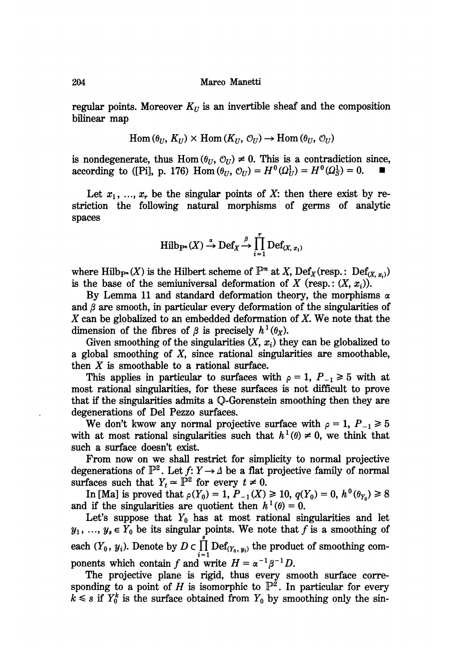regular points. Moreover  $K_U$  is an invertible sheaf and the composition bilinear map

$$
\mathrm{Hom}(\theta_U, K_U) \times \mathrm{Hom}(K_U, \mathcal{O}_U) \to \mathrm{Hom}(\theta_U, \mathcal{O}_U)
$$

is nondegenerate, thus Hom  $(\theta_U, \mathcal{O}_U) \neq 0$ . This is a contradiction since, according to ([Pi], p. 176) Hom  $(\theta_U, \mathcal{O}_U) = H^0(\Omega_U^1) = H^0(\Omega_S^1) = 0$ .

Let  $x_1, ..., x_r$  be the singular points of X: then there exist by restriction the following natural morphisms of germs of analytic spaces

$$
\operatorname{Hilb}_{P^m}(X) \stackrel{\alpha}{\to} \operatorname{Def}_X \stackrel{\beta}{\to} \prod_{i=1}^r \operatorname{Def}_{(X, x_i)}
$$

where Hilb<sub>P</sub><sup>\*</sup>(X) is the Hilbert scheme of  $\mathbb{P}^n$  at X, Def<sub>X</sub> (resp.: Def<sub>(X, x<sub>i</sub>)</sub>) is the base of the semiuniversal deformation of X (resp.:  $(X, x_i)$ ).

By Lemma 11 and standard deformation theory, the morphisms  $\alpha$ and  $\beta$  are smooth, in particular every deformation of the singularities of  $X$  can be globalized to an embedded deformation of  $X$ . We note that the dimension of the fibres of  $\beta$  is precisely  $h^1(\theta_X)$ .

Given smoothing of the singularities  $(X, x_i)$  they can be globalized to a global smoothing of X, since rational singularities are smoothable, then  $X$  is smoothable to a rational surface.

This applies in particular to surfaces with  $\rho = 1$ ,  $P_{-1} \ge 5$  with at most rational singularities, for these surfaces is not difficult to prove that if the singularities admits a Q-Gorenstein smoothing then they are degenerations of Del Pezzo surfaces.

We don't kwow any normal projective surface with  $\rho = 1$ ,  $P_{-1} \ge 5$ with at most rational singularities such that  $h^1(\theta) \neq 0$ , we think that such a surface doesn't exist.

From now on we shall restrict for simplicity to normal projective degenerations of  $\mathbb{P}^2$ . Let  $f: Y \to \Delta$  be a flat projective family of normal surfaces such that  $Y_t \approx \mathbb{P}^2$  for every  $t \neq 0$ .

In [Ma] is proved that  $\rho(Y_0) = 1$ ,  $P_{-1}(X) \ge 10$ ,  $q(Y_0) = 0$ ,  $h^0(\theta_{Y_0}) \ge 8$ and if the singularities are quotient then  $h^1(\theta) = 0$ .

Let's suppose that  $Y_0$  has at most rational singularities and let  $y_1, ..., y_s \in Y_0$  be its singular points. We note that f is a smoothing of each  $(Y_0, y_i)$ . Denote by  $D \subset \prod_{i=1}^r \text{Def}_{(Y_0, y_i)}$  the product of smoothing components which contain f and write  $H = \alpha^{-1} \beta^{-1} D$ .

The projective plane is rigid, thus every smooth surface corresponding to a point of H is isomorphic to  $\mathbb{P}^2$ . In particular for every  $k \leq s$  if  $Y_0^k$  is the surface obtained from  $Y_0$  by smoothing only the sin-